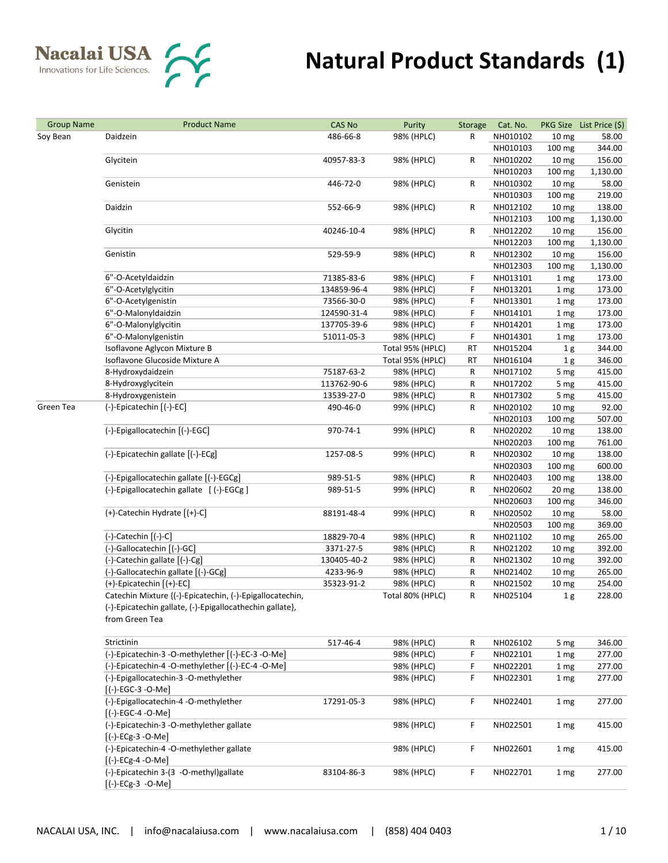| <b>Group Name</b> | <b>Product Name</b>                                      | <b>CAS No</b> | Purity           | Storage                   | Cat. No.         |                  | PKG Size List Price (\$) |
|-------------------|----------------------------------------------------------|---------------|------------------|---------------------------|------------------|------------------|--------------------------|
| Soy Bean          | Daidzein                                                 | 486-66-8      | 98% (HPLC)       | R                         | NH010102         | 10 mg            | 58.00                    |
|                   |                                                          |               |                  |                           | NH010103         | 100 mg           | 344.00                   |
|                   | Glycitein                                                | 40957-83-3    | 98% (HPLC)       | R                         | NH010202         | 10 <sub>mg</sub> | 156.00                   |
|                   |                                                          |               |                  |                           | NH010203         | 100 mg           | 1,130.00                 |
|                   | Genistein                                                | 446-72-0      | 98% (HPLC)       | R                         | NH010302         | 10 <sub>mg</sub> | 58.00                    |
|                   |                                                          |               |                  |                           | NH010303         | 100 mg           | 219.00                   |
|                   | Daidzin                                                  | 552-66-9      | 98% (HPLC)       | R                         | NH012102         | 10 <sub>mg</sub> | 138.00                   |
|                   |                                                          |               |                  |                           | NH012103         | 100 mg           | 1,130.00                 |
|                   | Glycitin                                                 | 40246-10-4    | 98% (HPLC)       | R                         | NH012202         | 10 <sub>mg</sub> | 156.00                   |
|                   |                                                          |               |                  |                           | NH012203         | 100 mg           | 1,130.00                 |
|                   | Genistin                                                 | 529-59-9      | 98% (HPLC)       | R                         | NH012302         | 10 <sub>mg</sub> | 156.00                   |
|                   |                                                          |               |                  |                           | NH012303         | 100 mg           | 1,130.00                 |
|                   | 6"-O-Acetyldaidzin                                       | 71385-83-6    | 98% (HPLC)       | F                         | NH013101         | 1 mg             | 173.00                   |
|                   | 6"-O-Acetylglycitin                                      | 134859-96-4   | 98% (HPLC)       | F                         | NH013201         | 1 mg             | 173.00                   |
|                   | 6"-O-Acetylgenistin                                      | 73566-30-0    | 98% (HPLC)       | F                         | NH013301         | 1 mg             | 173.00                   |
|                   | 6"-O-Malonyldaidzin                                      | 124590-31-4   | 98% (HPLC)       | F                         | NH014101         | 1 mg             | 173.00                   |
|                   | 6"-O-Malonylglycitin                                     | 137705-39-6   | 98% (HPLC)       | F                         | NH014201         | 1 mg             | 173.00                   |
|                   | 6"-O-Malonylgenistin                                     | 51011-05-3    | 98% (HPLC)       | F                         | NH014301         | 1 mg             | 173.00                   |
|                   | Isoflavone Aglycon Mixture B                             |               | Total 95% (HPLC) | RT                        | NH015204         | 1 <sub>g</sub>   | 344.00                   |
|                   | Isoflavone Glucoside Mixture A                           |               | Total 95% (HPLC) | RT                        | NH016104         | 1 <sub>g</sub>   | 346.00                   |
|                   | 8-Hydroxydaidzein                                        | 75187-63-2    |                  |                           |                  |                  | 415.00                   |
|                   |                                                          |               | 98% (HPLC)       | R                         | NH017102         | 5 mg             |                          |
|                   | 8-Hydroxyglycitein                                       | 113762-90-6   | 98% (HPLC)       | R                         | NH017202         | 5 mg             | 415.00                   |
|                   | 8-Hydroxygenistein                                       | 13539-27-0    | 98% (HPLC)       | R                         | NH017302         | 5 mg             | 415.00                   |
| Green Tea         | (-)-Epicatechin [(-)-EC]                                 | 490-46-0      | 99% (HPLC)       | R                         | NH020102         | 10 <sub>mg</sub> | 92.00                    |
|                   |                                                          |               |                  |                           | NH020103         | 100 mg           | 507.00                   |
|                   | (-)-Epigallocatechin [(-)-EGC]                           | 970-74-1      | 99% (HPLC)       | R                         | NH020202         | 10 <sub>mg</sub> | 138.00                   |
|                   |                                                          |               |                  | NH020203<br>R<br>NH020302 | $100 \text{ mg}$ | 761.00           |                          |
|                   | (-)-Epicatechin gallate [(-)-ECg]                        | 1257-08-5     | 99% (HPLC)       |                           |                  | 10 <sub>mg</sub> | 138.00                   |
|                   |                                                          |               |                  |                           | NH020303         | 100 mg           | 600.00                   |
|                   | (-)-Epigallocatechin gallate [(-)-EGCg]                  | 989-51-5      | 98% (HPLC)       | R                         | NH020403         | 100 mg           | 138.00                   |
|                   | (-)-Epigallocatechin gallate [(-)-EGCg]                  | 989-51-5      | 99% (HPLC)       | R                         | NH020602         | 20 mg            | 138.00                   |
|                   |                                                          |               |                  |                           | NH020603         | 100 mg           | 346.00                   |
|                   | (+)-Catechin Hydrate [(+)-C]                             | 88191-48-4    | 99% (HPLC)       | R                         | NH020502         | 10 <sub>mg</sub> | 58.00                    |
|                   |                                                          |               |                  |                           | NH020503         | 100 mg           | 369.00                   |
|                   | $(-)$ -Catechin $[(-)$ -C]                               | 18829-70-4    | 98% (HPLC)       | R                         | NH021102         | 10 <sub>mg</sub> | 265.00                   |
|                   | (-)-Gallocatechin [(-)-GC]                               | 3371-27-5     | 98% (HPLC)       | R                         | NH021202         | 10 <sub>mg</sub> | 392.00                   |
|                   | (-)-Catechin gallate [(-)-Cg]                            | 130405-40-2   | 98% (HPLC)       | R                         | NH021302         | 10 <sub>mg</sub> | 392.00                   |
|                   | (-)-Gallocatechin gallate [(-)-GCg]                      | 4233-96-9     | 98% (HPLC)       | R                         | NH021402         | 10 <sub>mg</sub> | 265.00                   |
|                   | (+)-Epicatechin [(+)-EC]                                 | 35323-91-2    | 98% (HPLC)       | R                         | NH021502         | 10 <sub>mg</sub> | 254.00                   |
|                   | Catechin Mixture {(-)-Epicatechin, (-)-Epigallocatechin, |               | Total 80% (HPLC) | R                         | NH025104         | 1 <sub>g</sub>   | 228.00                   |
|                   | (-)-Epicatechin gallate, (-)-Epigallocathechin gallate}, |               |                  |                           |                  |                  |                          |
|                   | from Green Tea                                           |               |                  |                           |                  |                  |                          |
|                   | Strictinin                                               | 517-46-4      | 98% (HPLC)       | R                         | NH026102         | 5 mg             | 346.00                   |
|                   | (-)-Epicatechin-3 -O-methylether [(-)-EC-3 -O-Me]        |               | 98% (HPLC)       | F                         | NH022101         | 1 mg             | 277.00                   |
|                   | (-)-Epicatechin-4 -O-methylether [(-)-EC-4 -O-Me]        |               |                  | F                         |                  |                  |                          |
|                   |                                                          |               | 98% (HPLC)       |                           | NH022201         | 1 mg             | 277.00                   |
|                   | (-)-Epigallocatechin-3 -O-methylether                    |               | 98% (HPLC)       | F.                        | NH022301         | 1 mg             | 277.00                   |
|                   | $[(-) - EGC - 3 - O - Me]$                               |               |                  |                           |                  |                  |                          |
|                   | (-)-Epigallocatechin-4 -O-methylether                    | 17291-05-3    | 98% (HPLC)       | F                         | NH022401         | 1 mg             | 277.00                   |
|                   | $[(-) - EGC - 4 - O - Me]$                               |               |                  |                           |                  |                  |                          |
|                   | (-)-Epicatechin-3 -O-methylether gallate                 |               | 98% (HPLC)       | F                         | NH022501         | 1 mg             | 415.00                   |
|                   | $[(-)$ -ECg-3 -O-Me]                                     |               |                  |                           |                  |                  |                          |
|                   | (-)-Epicatechin-4 -O-methylether gallate                 |               | 98% (HPLC)       | F.                        | NH022601         | 1 mg             | 415.00                   |
|                   | $[(-)-ECg-4 -O-Me]$                                      |               |                  |                           |                  |                  |                          |
|                   | (-)-Epicatechin 3-(3 -O-methyl)gallate                   | 83104-86-3    | 98% (HPLC)       | F                         | NH022701         | 1 mg             | 277.00                   |
|                   | $[(-)-ECg-3 -O-Me]$                                      |               |                  |                           |                  |                  |                          |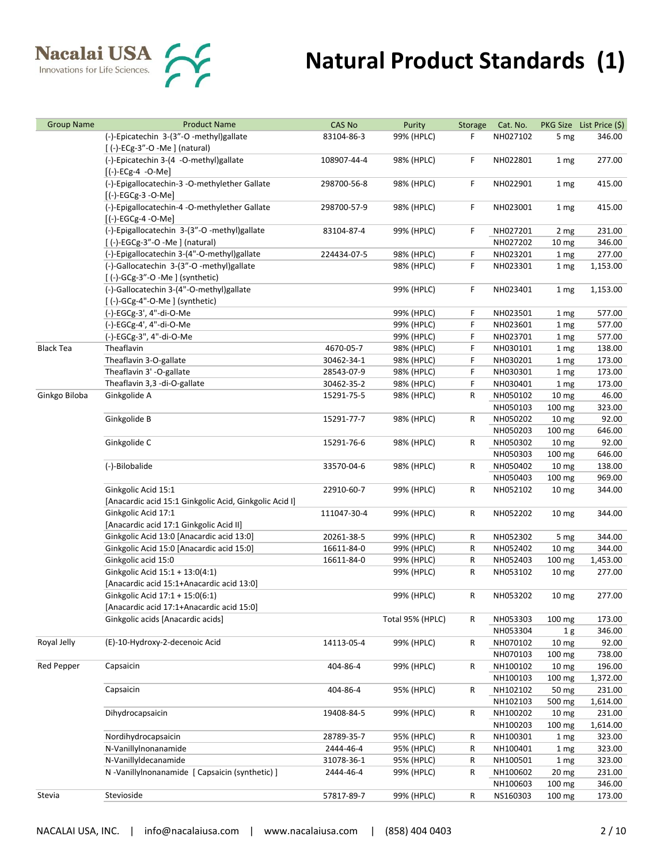| <b>Group Name</b> | <b>Product Name</b>                                    | <b>CAS No</b> | Purity           | Storage | Cat. No.             |                            | PKG Size List Price (\$) |
|-------------------|--------------------------------------------------------|---------------|------------------|---------|----------------------|----------------------------|--------------------------|
|                   | (-)-Epicatechin 3-(3"-O -methyl)gallate                | 83104-86-3    | 99% (HPLC)       | F       | NH027102             | 5 mg                       | 346.00                   |
|                   | [(-)-ECg-3"-O -Me](natural)                            |               |                  |         |                      |                            |                          |
|                   | (-)-Epicatechin 3-(4 -O-methyl)gallate                 | 108907-44-4   | 98% (HPLC)       | F.      | NH022801             | 1 mg                       | 277.00                   |
|                   | $[(-)-ECg-4 -O-Me]$                                    |               |                  |         |                      |                            |                          |
|                   | (-)-Epigallocatechin-3 -O-methylether Gallate          | 298700-56-8   | 98% (HPLC)       | F.      | NH022901             | 1 mg                       | 415.00                   |
|                   | $[(-)$ -EGCg-3 -O-Me]                                  |               |                  |         |                      |                            |                          |
|                   | (-)-Epigallocatechin-4 -O-methylether Gallate          | 298700-57-9   | 98% (HPLC)       | F.      | NH023001             | 1 <sub>mg</sub>            | 415.00                   |
|                   | $[(-)$ -EGCg-4 -O-Me]                                  |               |                  |         |                      |                            |                          |
|                   | (-)-Epigallocatechin 3-(3"-O -methyl)gallate           | 83104-87-4    | 99% (HPLC)       | F.      | NH027201             | 2 mg                       | 231.00                   |
|                   | [(-)-EGCg-3"-O -Me] (natural)                          |               |                  |         | NH027202             | 10 <sub>mg</sub>           | 346.00                   |
|                   | (-)-Epigallocatechin 3-(4"-O-methyl)gallate            | 224434-07-5   | 98% (HPLC)       | F       | NH023201             | 1 <sub>mg</sub>            | 277.00                   |
|                   | (-)-Gallocatechin 3-(3"-O -methyl)gallate              |               | 98% (HPLC)       | F.      | NH023301             | 1 mg                       | 1,153.00                 |
|                   | [(-)-GCg-3"-O -Me] (synthetic)                         |               |                  |         |                      |                            |                          |
|                   | (-)-Gallocatechin 3-(4"-O-methyl)gallate               |               | 99% (HPLC)       | F.      | NH023401             | 1 mg                       | 1,153.00                 |
|                   | $[$ (-)-GCg-4"-O-Me ] (synthetic)                      |               |                  |         |                      |                            |                          |
|                   | (-)-EGCg-3', 4"-di-O-Me                                |               | 99% (HPLC)       | F       | NH023501             | 1 mg                       | 577.00                   |
|                   | (-)-EGCg-4', 4"-di-O-Me                                |               | 99% (HPLC)       | F       | NH023601             | 1 mg                       | 577.00                   |
|                   | (-)-EGCg-3", 4"-di-O-Me                                |               | 99% (HPLC)       | F       | NH023701             | 1 mg                       | 577.00                   |
| <b>Black Tea</b>  | Theaflavin                                             | 4670-05-7     | 98% (HPLC)       | F       | NH030101             | 1 mg                       | 138.00                   |
|                   | Theaflavin 3-O-gallate                                 | 30462-34-1    | 98% (HPLC)       | F       | NH030201             | 1 mg                       | 173.00                   |
|                   | Theaflavin 3' -O-gallate                               | 28543-07-9    | 98% (HPLC)       | F       | NH030301             | 1 mg                       | 173.00                   |
|                   | Theaflavin 3,3 -di-O-gallate                           | 30462-35-2    | 98% (HPLC)       | F       | NH030401             | 1 mg                       | 173.00                   |
| Ginkgo Biloba     | Ginkgolide A                                           | 15291-75-5    | 98% (HPLC)       | R       | NH050102             | 10 <sub>mg</sub>           | 46.00                    |
|                   | Ginkgolide B                                           | 15291-77-7    |                  |         | NH050103<br>NH050202 | 100 mg                     | 323.00<br>92.00          |
|                   |                                                        |               | 98% (HPLC)       | R       | NH050203             | 10 <sub>mg</sub><br>100 mg | 646.00                   |
|                   | Ginkgolide C                                           | 15291-76-6    | 98% (HPLC)       | R       | NH050302             | 10 mg                      | 92.00                    |
|                   |                                                        |               |                  |         | NH050303             | 100 mg                     | 646.00                   |
|                   | (-)-Bilobalide                                         | 33570-04-6    | 98% (HPLC)       | R       | NH050402             | 10 <sub>mg</sub>           | 138.00                   |
|                   |                                                        |               |                  |         | NH050403             | 100 mg                     | 969.00                   |
|                   | Ginkgolic Acid 15:1                                    | 22910-60-7    | 99% (HPLC)       | R       | NH052102             | 10 <sub>mg</sub>           | 344.00                   |
|                   | [Anacardic acid 15:1 Ginkgolic Acid, Ginkgolic Acid I] |               |                  |         |                      |                            |                          |
|                   | Ginkgolic Acid 17:1                                    | 111047-30-4   | 99% (HPLC)       | R       | NH052202             | 10 <sub>mg</sub>           | 344.00                   |
|                   | [Anacardic acid 17:1 Ginkgolic Acid II]                |               |                  |         |                      |                            |                          |
|                   | Ginkgolic Acid 13:0 [Anacardic acid 13:0]              | 20261-38-5    | 99% (HPLC)       | R       | NH052302             | 5 mg                       | 344.00                   |
|                   | Ginkgolic Acid 15:0 [Anacardic acid 15:0]              | 16611-84-0    | 99% (HPLC)       | R       | NH052402             | 10 <sub>mg</sub>           | 344.00                   |
|                   | Ginkgolic acid 15:0                                    | 16611-84-0    | 99% (HPLC)       | R       | NH052403             | 100 mg                     | 1,453.00                 |
|                   | Ginkgolic Acid 15:1 + 13:0(4:1)                        |               | 99% (HPLC)       | R       | NH053102             | 10 <sub>mg</sub>           | 277.00                   |
|                   | [Anacardic acid 15:1+Anacardic acid 13:0]              |               |                  |         |                      |                            |                          |
|                   | Ginkgolic Acid 17:1 + 15:0(6:1)                        |               | 99% (HPLC)       | R       | NH053202             | 10 <sub>mg</sub>           | 277.00                   |
|                   | [Anacardic acid 17:1+Anacardic acid 15:0]              |               |                  |         |                      |                            |                          |
|                   | Ginkgolic acids [Anacardic acids]                      |               | Total 95% (HPLC) | R       | NH053303             | 100 mg                     | 173.00                   |
|                   |                                                        |               |                  |         | NH053304             | 1 <sub>g</sub>             | 346.00                   |
| Royal Jelly       | (E)-10-Hydroxy-2-decenoic Acid                         | 14113-05-4    | 99% (HPLC)       | R       | NH070102             | 10 <sub>mg</sub>           | 92.00                    |
|                   |                                                        |               |                  |         | NH070103             | 100 mg                     | 738.00                   |
| Red Pepper        | Capsaicin                                              | 404-86-4      | 99% (HPLC)       | R       | NH100102             | 10 <sub>mg</sub>           | 196.00                   |
|                   |                                                        |               |                  |         | NH100103             | 100 mg                     | 1,372.00                 |
|                   | Capsaicin                                              | 404-86-4      | 95% (HPLC)       | R       | NH102102             | 50 mg                      | 231.00                   |
|                   |                                                        |               |                  |         | NH102103             | 500 mg                     | 1,614.00                 |
|                   | Dihydrocapsaicin                                       | 19408-84-5    | 99% (HPLC)       | R       | NH100202             | 10 <sub>mg</sub>           | 231.00                   |
|                   |                                                        |               |                  |         | NH100203             | 100 mg                     | 1,614.00                 |
|                   | Nordihydrocapsaicin                                    | 28789-35-7    | 95% (HPLC)       | R       | NH100301             | 1 mg                       | 323.00                   |
|                   | N-VanillyInonanamide                                   | 2444-46-4     | 95% (HPLC)       | R       | NH100401             | 1 mg                       | 323.00                   |
|                   | N-VanillyIdecanamide                                   | 31078-36-1    | 95% (HPLC)       | R       | NH100501             | 1 mg                       | 323.00                   |
|                   | N -Vanillylnonanamide [ Capsaicin (synthetic) ]        | 2444-46-4     | 99% (HPLC)       | R       | NH100602             | 20 <sub>mg</sub>           | 231.00                   |
|                   | Stevioside                                             |               |                  |         | NH100603             | 100 mg                     | 346.00                   |
| Stevia            |                                                        | 57817-89-7    | 99% (HPLC)       | R       | NS160303             | 100 mg                     | 173.00                   |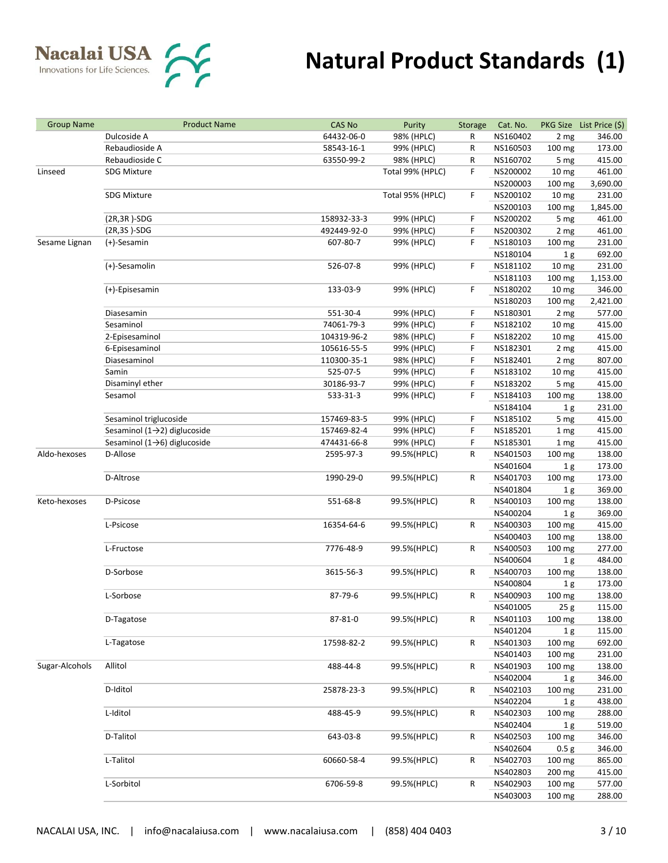

| <b>Group Name</b> | <b>Product Name</b>                       | <b>CAS No</b> | Purity           | Storage | Cat. No.             |                          | PKG Size List Price (\$) |
|-------------------|-------------------------------------------|---------------|------------------|---------|----------------------|--------------------------|--------------------------|
|                   | Dulcoside A                               | 64432-06-0    | 98% (HPLC)       | R       | NS160402             | 2 mg                     | 346.00                   |
|                   | Rebaudioside A                            | 58543-16-1    | 99% (HPLC)       | R       | NS160503             | 100 mg                   | 173.00                   |
|                   | Rebaudioside C                            | 63550-99-2    | 98% (HPLC)       | R       | NS160702             | 5 mg                     | 415.00                   |
| Linseed           | <b>SDG Mixture</b>                        |               | Total 99% (HPLC) | F       | NS200002             | 10 <sub>mg</sub>         | 461.00                   |
|                   |                                           |               |                  |         | NS200003             | 100 mg                   | 3,690.00                 |
|                   | <b>SDG Mixture</b>                        |               | Total 95% (HPLC) | F       | NS200102             | 10 <sub>mg</sub>         | 231.00                   |
|                   |                                           |               |                  |         | NS200103             | 100 mg                   | 1,845.00                 |
|                   | $(2R, 3R)$ -SDG                           | 158932-33-3   | 99% (HPLC)       | F       | NS200202             | 5 mg                     | 461.00                   |
|                   | (2R,3S)-SDG                               | 492449-92-0   | 99% (HPLC)       | F       | NS200302             | 2 mg                     | 461.00                   |
| Sesame Lignan     | (+)-Sesamin                               | 607-80-7      | 99% (HPLC)       | F.      | NS180103             | 100 mg                   | 231.00                   |
|                   |                                           |               |                  |         | NS180104             | 1 <sub>g</sub>           | 692.00                   |
|                   | (+)-Sesamolin                             | 526-07-8      | 99% (HPLC)       | F.      | NS181102             | 10 <sub>mg</sub>         | 231.00                   |
|                   |                                           |               |                  |         | NS181103             | 100 mg                   | 1,153.00                 |
|                   | (+)-Episesamin                            | 133-03-9      | 99% (HPLC)       | F.      | NS180202             | 10 mg                    | 346.00                   |
|                   |                                           |               |                  |         | NS180203             | 100 mg                   | 2,421.00                 |
|                   | Diasesamin                                | 551-30-4      | 99% (HPLC)       | F       | NS180301             | 2 mg                     | 577.00                   |
|                   | Sesaminol                                 | 74061-79-3    | 99% (HPLC)       | F       | NS182102             | 10 <sub>mg</sub>         | 415.00                   |
|                   | 2-Episesaminol                            | 104319-96-2   | 98% (HPLC)       | F       | NS182202             | 10 <sub>mg</sub>         | 415.00                   |
|                   | 6-Episesaminol                            | 105616-55-5   | 99% (HPLC)       | F       | NS182301             | 2 mg                     | 415.00                   |
|                   | Diasesaminol                              | 110300-35-1   | 98% (HPLC)       | F       | NS182401             | 2 mg                     | 807.00                   |
|                   | Samin                                     | 525-07-5      | 99% (HPLC)       | F       | NS183102             | 10 <sub>mg</sub>         | 415.00                   |
|                   | Disaminyl ether                           | 30186-93-7    | 99% (HPLC)       | F       | NS183202             | 5 mg                     | 415.00                   |
|                   | Sesamol                                   | 533-31-3      | 99% (HPLC)       | F       | NS184103             | 100 mg                   | 138.00                   |
|                   |                                           |               |                  |         | NS184104             | 1 <sub>g</sub>           | 231.00                   |
|                   | Sesaminol triglucoside                    | 157469-83-5   | 99% (HPLC)       | F.      | NS185102             | 5 mg                     | 415.00                   |
|                   | Sesaminol (1 $\rightarrow$ 2) diglucoside | 157469-82-4   | 99% (HPLC)       | F       | NS185201             | 1 mg                     | 415.00                   |
|                   | Sesaminol (1 $\rightarrow$ 6) diglucoside | 474431-66-8   | 99% (HPLC)       | F       | NS185301             | 1 mg                     | 415.00                   |
| Aldo-hexoses      | D-Allose                                  | 2595-97-3     | 99.5%(HPLC)      | R       | NS401503             | 100 mg                   | 138.00                   |
|                   |                                           |               |                  |         | NS401604             | 1 <sub>g</sub>           | 173.00                   |
|                   | D-Altrose                                 | 1990-29-0     | 99.5%(HPLC)      | R       | NS401703             | 100 mg                   | 173.00                   |
|                   |                                           |               |                  |         | NS401804             |                          | 369.00                   |
| Keto-hexoses      | D-Psicose                                 | 551-68-8      | 99.5%(HPLC)      | R       | NS400103             | 1 <sub>g</sub><br>100 mg | 138.00                   |
|                   |                                           |               |                  |         | NS400204             | 1 <sub>g</sub>           | 369.00                   |
|                   | L-Psicose                                 | 16354-64-6    |                  | R       | NS400303             | 100 mg                   | 415.00                   |
|                   |                                           |               | 99.5%(HPLC)      |         | NS400403             | 100 mg                   | 138.00                   |
|                   | L-Fructose                                | 7776-48-9     | 99.5%(HPLC)      | R       | NS400503             |                          | 277.00                   |
|                   |                                           |               |                  |         | NS400604             | 100 mg<br>1 <sub>g</sub> | 484.00                   |
|                   | D-Sorbose                                 | 3615-56-3     | 99.5%(HPLC)      | R       | NS400703             | 100 mg                   | 138.00                   |
|                   |                                           |               |                  |         | NS400804             | 1 <sub>g</sub>           | 173.00                   |
|                   | L-Sorbose                                 | 87-79-6       | 99.5%(HPLC)      | R       | NS400903             | 100 mg                   | 138.00                   |
|                   |                                           |               |                  |         | NS401005             | 25g                      | 115.00                   |
|                   | D-Tagatose                                | 87-81-0       | 99.5%(HPLC)      | R       | NS401103             | 100 mg                   | 138.00                   |
|                   |                                           |               |                  |         | NS401204             | 1 <sub>g</sub>           | 115.00                   |
|                   | L-Tagatose                                | 17598-82-2    | 99.5%(HPLC)      | R       | NS401303             | 100 mg                   | 692.00                   |
|                   |                                           |               |                  |         | NS401403             | 100 mg                   | 231.00                   |
| Sugar-Alcohols    | Allitol                                   | 488-44-8      | 99.5%(HPLC)      | R       | NS401903             |                          | 138.00                   |
|                   |                                           |               |                  |         | NS402004             | 100 mg                   | 346.00                   |
|                   | D-Iditol                                  | 25878-23-3    | 99.5%(HPLC)      | R       | NS402103             | 1 <sub>g</sub><br>100 mg | 231.00                   |
|                   |                                           |               |                  |         | NS402204             |                          | 438.00                   |
|                   |                                           |               |                  |         |                      | 1 <sub>g</sub>           |                          |
|                   | L-Iditol                                  | 488-45-9      | 99.5%(HPLC)      | R       | NS402303             | 100 mg                   | 288.00                   |
|                   | D-Talitol                                 |               |                  |         | NS402404             | 1 <sub>g</sub>           | 519.00<br>346.00         |
|                   |                                           | 643-03-8      | 99.5%(HPLC)      | R       | NS402503<br>NS402604 | 100 mg                   | 346.00                   |
|                   |                                           |               |                  |         |                      | 0.5 <sub>g</sub>         |                          |
|                   | L-Talitol                                 | 60660-58-4    | 99.5%(HPLC)      | R       | NS402703             | 100 mg                   | 865.00                   |
|                   | L-Sorbitol                                |               |                  |         | NS402803             | 200 mg                   | 415.00                   |
|                   |                                           | 6706-59-8     | 99.5%(HPLC)      | R       | NS402903<br>NS403003 | 100 mg                   | 577.00<br>288.00         |
|                   |                                           |               |                  |         |                      | 100 mg                   |                          |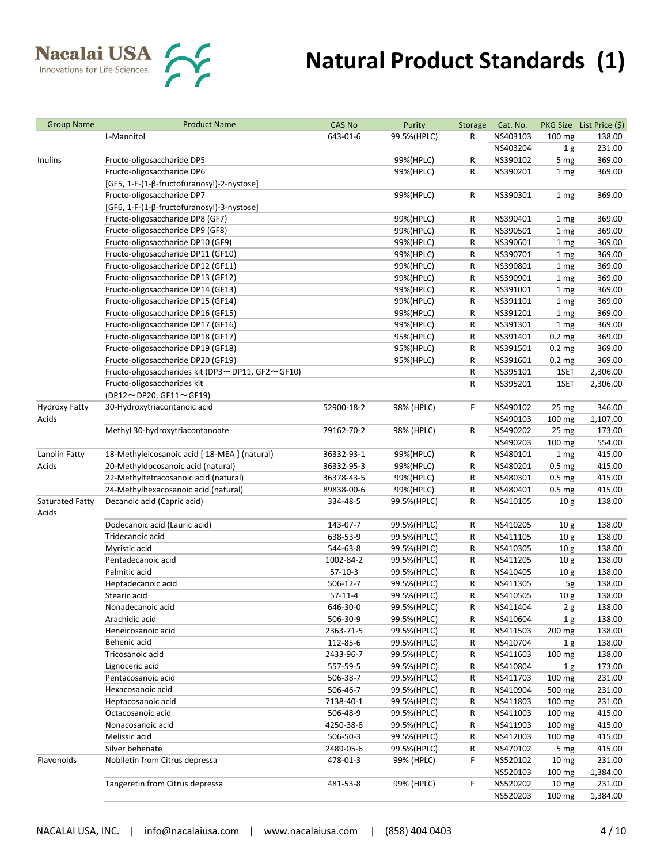

| <b>Group Name</b>    | <b>Product Name</b>                              | <b>CAS No</b> | Purity      | Storage | Cat. No. |                   | PKG Size List Price (\$) |
|----------------------|--------------------------------------------------|---------------|-------------|---------|----------|-------------------|--------------------------|
|                      | L-Mannitol                                       | 643-01-6      | 99.5%(HPLC) | R       | NS403103 | $100 \text{ mg}$  | 138.00                   |
|                      |                                                  |               |             |         | NS403204 | 1g                | 231.00                   |
| Inulins              | Fructo-oligosaccharide DP5                       |               | 99%(HPLC)   | R       | NS390102 | 5 mg              | 369.00                   |
|                      | Fructo-oligosaccharide DP6                       |               | 99%(HPLC)   | R       | NS390201 | 1 <sub>mg</sub>   | 369.00                   |
|                      | [GF5, 1-F-(1-β-fructofuranosyl)-2-nystose]       |               |             |         |          |                   |                          |
|                      |                                                  |               |             |         |          |                   |                          |
|                      | Fructo-oligosaccharide DP7                       |               | 99%(HPLC)   | R       | NS390301 | 1 mg              | 369.00                   |
|                      | [GF6, 1-F-(1-β-fructofuranosyl)-3-nystose]       |               |             |         |          |                   |                          |
|                      | Fructo-oligosaccharide DP8 (GF7)                 |               | 99%(HPLC)   | R       | NS390401 | 1 mg              | 369.00                   |
|                      | Fructo-oligosaccharide DP9 (GF8)                 |               | 99%(HPLC)   | R       | NS390501 | 1 mg              | 369.00                   |
|                      | Fructo-oligosaccharide DP10 (GF9)                |               | 99%(HPLC)   | R       | NS390601 | 1 <sub>mg</sub>   | 369.00                   |
|                      | Fructo-oligosaccharide DP11 (GF10)               |               | 99%(HPLC)   | R       | NS390701 | 1 mg              | 369.00                   |
|                      | Fructo-oligosaccharide DP12 (GF11)               |               | 99%(HPLC)   | R       | NS390801 | 1 mg              | 369.00                   |
|                      | Fructo-oligosaccharide DP13 (GF12)               |               | 99%(HPLC)   | R       | NS390901 | 1 mg              | 369.00                   |
|                      | Fructo-oligosaccharide DP14 (GF13)               |               | 99%(HPLC)   | R       | NS391001 | 1 mg              | 369.00                   |
|                      | Fructo-oligosaccharide DP15 (GF14)               |               | 99%(HPLC)   | R       | NS391101 | 1 mg              | 369.00                   |
|                      | Fructo-oligosaccharide DP16 (GF15)               |               | 99%(HPLC)   | R       | NS391201 | 1 mg              | 369.00                   |
|                      | Fructo-oligosaccharide DP17 (GF16)               |               | 99%(HPLC)   | R       | NS391301 | 1 mg              | 369.00                   |
|                      | Fructo-oligosaccharide DP18 (GF17)               |               | 95%(HPLC)   | R       | NS391401 | 0.2 <sub>mg</sub> | 369.00                   |
|                      | Fructo-oligosaccharide DP19 (GF18)               |               | 95%(HPLC)   | R       | NS391501 | 0.2 <sub>mg</sub> | 369.00                   |
|                      | Fructo-oligosaccharide DP20 (GF19)               |               | 95%(HPLC)   | R       | NS391601 | 0.2 <sub>mg</sub> | 369.00                   |
|                      | Fructo-oligosaccharides kit (DP3~DP11, GF2~GF10) |               |             | R       |          |                   |                          |
|                      |                                                  |               |             |         | NS395101 | 1SET              | 2,306.00                 |
|                      | Fructo-oligosaccharides kit                      |               |             | R       | NS395201 | 1SET              | 2,306.00                 |
|                      | (DP12~DP20, GF11~GF19)                           |               |             |         |          |                   |                          |
| <b>Hydroxy Fatty</b> | 30-Hydroxytriacontanoic acid                     | 52900-18-2    | 98% (HPLC)  | F.      | NS490102 | 25 <sub>mg</sub>  | 346.00                   |
| Acids                |                                                  |               |             |         | NS490103 | 100 mg            | 1,107.00                 |
|                      | Methyl 30-hydroxytriacontanoate                  | 79162-70-2    | 98% (HPLC)  | R       | NS490202 | 25 <sub>mg</sub>  | 173.00                   |
|                      |                                                  |               |             |         | NS490203 | 100 mg            | 554.00                   |
| Lanolin Fatty        | 18-Methyleicosanoic acid [18-MEA] (natural)      | 36332-93-1    | 99%(HPLC)   | R       | NS480101 | 1 mg              | 415.00                   |
| Acids                | 20-Methyldocosanoic acid (natural)               | 36332-95-3    | 99%(HPLC)   | R       | NS480201 | 0.5 <sub>mg</sub> | 415.00                   |
|                      | 22-Methyltetracosanoic acid (natural)            | 36378-43-5    | 99%(HPLC)   | R       | NS480301 | 0.5 <sub>mg</sub> | 415.00                   |
|                      | 24-Methylhexacosanoic acid (natural)             | 89838-00-6    | 99%(HPLC)   | R       | NS480401 | 0.5 <sub>mg</sub> | 415.00                   |
| Saturated Fatty      | Decanoic acid (Capric acid)                      | 334-48-5      | 99.5%(HPLC) | R       | NS410105 | 10 <sub>g</sub>   | 138.00                   |
| Acids                |                                                  |               |             |         |          |                   |                          |
|                      | Dodecanoic acid (Lauric acid)                    | 143-07-7      | 99.5%(HPLC) | R       | NS410205 | 10 <sub>g</sub>   | 138.00                   |
|                      | Tridecanoic acid                                 | 638-53-9      | 99.5%(HPLC) | R       | NS411105 | 10 <sub>g</sub>   | 138.00                   |
|                      | Myristic acid                                    | 544-63-8      | 99.5%(HPLC) | R       | NS410305 | 10 <sub>g</sub>   | 138.00                   |
|                      | Pentadecanoic acid                               | 1002-84-2     | 99.5%(HPLC) | R       | NS411205 | 10 <sub>g</sub>   | 138.00                   |
|                      | Palmitic acid                                    | $57-10-3$     | 99.5%(HPLC) | R       | NS410405 |                   | 138.00                   |
|                      |                                                  |               |             |         |          | 10 <sub>g</sub>   |                          |
|                      | Heptadecanoic acid                               | 506-12-7      | 99.5%(HPLC) | R       | NS411305 | 5g                | 138.00                   |
|                      | Stearic acid                                     | $57-11-4$     | 99.5%(HPLC) | R       | NS410505 | 10 <sub>g</sub>   | 138.00                   |
|                      | Nonadecanoic acid                                | 646-30-0      | 99.5%(HPLC) | R       | NS411404 | 2g                | 138.00                   |
|                      | Arachidic acid                                   | 506-30-9      | 99.5%(HPLC) | R       | NS410604 | 1 <sub>g</sub>    | 138.00                   |
|                      | Heneicosanoic acid                               | 2363-71-5     | 99.5%(HPLC) | R       | NS411503 | 200 mg            | 138.00                   |
|                      | Behenic acid                                     | 112-85-6      | 99.5%(HPLC) | R       | NS410704 | 1 <sub>g</sub>    | 138.00                   |
|                      | Tricosanoic acid                                 | 2433-96-7     | 99.5%(HPLC) | R       | NS411603 | 100 mg            | 138.00                   |
|                      | Lignoceric acid                                  | 557-59-5      | 99.5%(HPLC) | R       | NS410804 | 1 <sub>g</sub>    | 173.00                   |
|                      | Pentacosanoic acid                               | 506-38-7      | 99.5%(HPLC) | R       | NS411703 | 100 mg            | 231.00                   |
|                      | Hexacosanoic acid                                | 506-46-7      | 99.5%(HPLC) | R       | NS410904 | 500 mg            | 231.00                   |
|                      | Heptacosanoic acid                               | 7138-40-1     | 99.5%(HPLC) | R       | NS411803 | 100 mg            | 231.00                   |
|                      | Octacosanoic acid                                | 506-48-9      | 99.5%(HPLC) | R       | NS411003 | 100 mg            | 415.00                   |
|                      | Nonacosanoic acid                                | 4250-38-8     | 99.5%(HPLC) | R       | NS411903 | 100 mg            | 415.00                   |
|                      | Melissic acid                                    | 506-50-3      | 99.5%(HPLC) | R       | NS412003 | 100 mg            | 415.00                   |
|                      | Silver behenate                                  | 2489-05-6     | 99.5%(HPLC) | R       | NS470102 | 5 mg              | 415.00                   |
| Flavonoids           | Nobiletin from Citrus depressa                   | 478-01-3      | 99% (HPLC)  | F.      | NS520102 | 10 <sub>mg</sub>  | 231.00                   |
|                      |                                                  |               |             |         |          |                   |                          |
|                      |                                                  |               |             |         | NS520103 | 100 mg            | 1,384.00                 |
|                      | Tangeretin from Citrus depressa                  | 481-53-8      | 99% (HPLC)  | F       | NS520202 | 10 <sub>mg</sub>  | 231.00                   |
|                      |                                                  |               |             |         | NS520203 | 100 mg            | 1,384.00                 |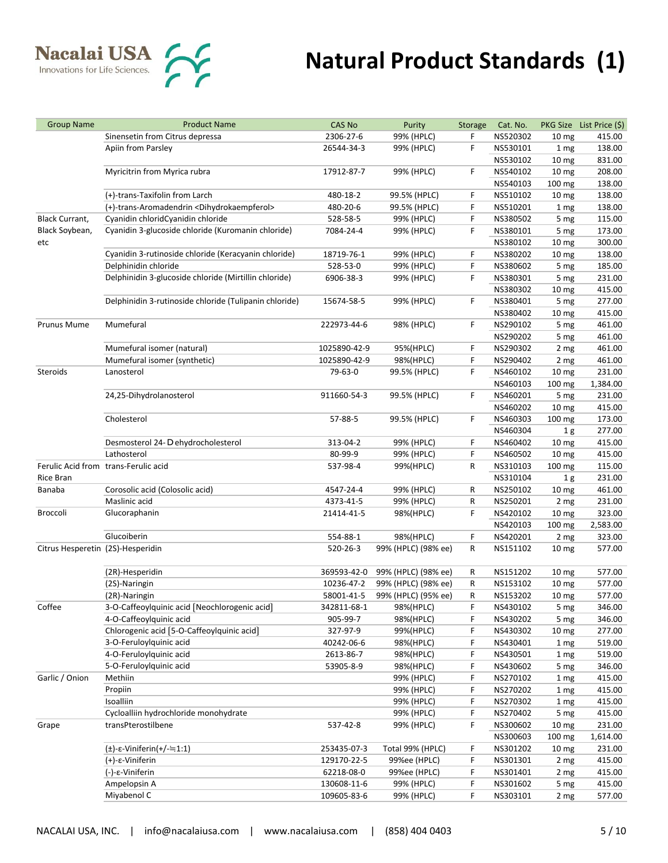| <b>Group Name</b>                 | <b>Product Name</b>                                            | <b>CAS No</b> | Purity              | <b>Storage</b> | Cat. No. |                                    | PKG Size List Price (\$) |
|-----------------------------------|----------------------------------------------------------------|---------------|---------------------|----------------|----------|------------------------------------|--------------------------|
|                                   | Sinensetin from Citrus depressa                                | 2306-27-6     | 99% (HPLC)          | F              | NS520302 | 10 <sub>mg</sub>                   | 415.00                   |
|                                   | Apiin from Parsley                                             | 26544-34-3    | 99% (HPLC)          | F              | NS530101 | 1 mg                               | 138.00                   |
|                                   |                                                                |               |                     |                | NS530102 | 10 <sub>mg</sub>                   | 831.00                   |
|                                   | Myricitrin from Myrica rubra                                   | 17912-87-7    | 99% (HPLC)          | F              | NS540102 | 10 <sub>mg</sub>                   | 208.00                   |
|                                   |                                                                |               |                     |                | NS540103 | 100 mg                             | 138.00                   |
|                                   | (+)-trans-Taxifolin from Larch                                 | 480-18-2      | 99.5% (HPLC)        | F              | NS510102 | 10 <sub>mg</sub>                   | 138.00                   |
|                                   | (+)-trans-Aromadendrin <dihydrokaempferol></dihydrokaempferol> | 480-20-6      | 99.5% (HPLC)        | F              | NS510201 | 1 mg                               | 138.00                   |
| <b>Black Currant,</b>             | Cyanidin chloridCyanidin chloride                              | 528-58-5      | 99% (HPLC)          | F              | NS380502 | 5 mg                               | 115.00                   |
| Black Soybean,                    | Cyanidin 3-glucoside chloride (Kuromanin chloride)             | 7084-24-4     | 99% (HPLC)          | F              | NS380101 | 5 mg                               | 173.00                   |
| etc                               |                                                                |               |                     |                | NS380102 | 10 <sub>mg</sub>                   | 300.00                   |
|                                   | Cyanidin 3-rutinoside chloride (Keracyanin chloride)           | 18719-76-1    | 99% (HPLC)          | F              | NS380202 | 10 <sub>mg</sub>                   | 138.00                   |
|                                   | Delphinidin chloride                                           | 528-53-0      | 99% (HPLC)          | F              | NS380602 | 5 mg                               | 185.00                   |
|                                   | Delphinidin 3-glucoside chloride (Mirtillin chloride)          | 6906-38-3     | 99% (HPLC)          | F              | NS380301 | 5 mg                               | 231.00                   |
|                                   |                                                                |               |                     |                | NS380302 | 10 <sub>mg</sub>                   | 415.00                   |
|                                   | Delphinidin 3-rutinoside chloride (Tulipanin chloride)         | 15674-58-5    | 99% (HPLC)          | F              | NS380401 | 5 mg                               | 277.00                   |
|                                   |                                                                |               |                     |                | NS380402 | 10 <sub>mg</sub>                   | 415.00                   |
| <b>Prunus Mume</b>                | Mumefural                                                      | 222973-44-6   | 98% (HPLC)          | F              | NS290102 | 5 mg                               | 461.00                   |
|                                   |                                                                |               |                     |                | NS290202 | 5 mg                               | 461.00                   |
|                                   | Mumefural isomer (natural)                                     | 1025890-42-9  | 95%(HPLC)           | F              | NS290302 | 2 mg                               | 461.00                   |
|                                   | Mumefural isomer (synthetic)                                   | 1025890-42-9  | 98%(HPLC)           | F              | NS290402 | 2 mg                               | 461.00                   |
| Steroids                          | Lanosterol                                                     | 79-63-0       | 99.5% (HPLC)        | F              | NS460102 | 10 <sub>mg</sub>                   | 231.00                   |
|                                   |                                                                |               |                     |                | NS460103 | 100 mg                             | 1,384.00                 |
|                                   | 24,25-Dihydrolanosterol                                        | 911660-54-3   | 99.5% (HPLC)        | F              | NS460201 | 5 mg                               | 231.00                   |
|                                   |                                                                |               |                     |                | NS460202 | 10 <sub>mg</sub>                   | 415.00                   |
|                                   | Cholesterol                                                    | 57-88-5       | 99.5% (HPLC)        | F              | NS460303 | 100 mg                             | 173.00                   |
|                                   |                                                                |               |                     |                | NS460304 |                                    | 277.00                   |
|                                   | Desmosterol 24-D ehydrocholesterol                             | 313-04-2      | 99% (HPLC)          | F              | NS460402 | 1 <sub>g</sub><br>10 <sub>mg</sub> | 415.00                   |
|                                   | Lathosterol                                                    | 80-99-9       | 99% (HPLC)          | F              | NS460502 |                                    | 415.00                   |
|                                   | Ferulic Acid from trans-Ferulic acid                           | 537-98-4      |                     | R              |          | 10 <sub>mg</sub>                   |                          |
|                                   |                                                                |               | 99%(HPLC)           |                | NS310103 | 100 mg                             | 115.00<br>231.00         |
| <b>Rice Bran</b><br>Banaba        | Corosolic acid (Colosolic acid)                                |               |                     |                | NS310104 | 1 <sub>g</sub>                     | 461.00                   |
|                                   | Maslinic acid                                                  | 4547-24-4     | 99% (HPLC)          | R              | NS250102 | 10 <sub>mg</sub>                   | 231.00                   |
|                                   |                                                                | 4373-41-5     | 99% (HPLC)          | R              | NS250201 | 2 mg                               |                          |
| Broccoli                          | Glucoraphanin                                                  | 21414-41-5    | 98%(HPLC)           | F              | NS420102 | 10 <sub>mg</sub>                   | 323.00                   |
|                                   |                                                                |               |                     |                | NS420103 | 100 mg                             | 2,583.00                 |
|                                   | Glucoiberin                                                    | 554-88-1      | 98%(HPLC)           | F              | NS420201 | 2 mg                               | 323.00                   |
| Citrus Hesperetin (2S)-Hesperidin |                                                                | 520-26-3      | 99% (HPLC) (98% ee) | R              | NS151102 | 10 <sub>mg</sub>                   | 577.00                   |
|                                   |                                                                |               |                     |                |          |                                    |                          |
|                                   | (2R)-Hesperidin                                                | 369593-42-0   | 99% (HPLC) (98% ee) | R              | NS151202 | 10 <sub>mg</sub>                   | 577.00                   |
|                                   | (2S)-Naringin                                                  | 10236-47-2    | 99% (HPLC) (98% ee) | R              | NS153102 | 10 <sub>mg</sub>                   | 577.00                   |
|                                   | (2R)-Naringin                                                  | 58001-41-5    | 99% (HPLC) (95% ee) | R              | NS153202 | 10 <sub>mg</sub>                   | 577.00                   |
| Coffee                            | 3-O-Caffeoylquinic acid [Neochlorogenic acid]                  | 342811-68-1   | 98%(HPLC)           | F              | NS430102 | 5 mg                               | 346.00                   |
|                                   | 4-O-Caffeoylquinic acid                                        | 905-99-7      | 98%(HPLC)           | F              | NS430202 | 5 mg                               | 346.00                   |
|                                   | Chlorogenic acid [5-O-Caffeoylquinic acid]                     | 327-97-9      | 99%(HPLC)           | F              | NS430302 | 10 <sub>mg</sub>                   | 277.00                   |
|                                   | 3-O-Feruloylquinic acid                                        | 40242-06-6    | 98%(HPLC)           | F              | NS430401 | 1 mg                               | 519.00                   |
|                                   | 4-O-Feruloylquinic acid                                        | 2613-86-7     | 98%(HPLC)           | F              | NS430501 | 1 mg                               | 519.00                   |
|                                   | 5-O-Feruloylquinic acid                                        | 53905-8-9     | 98%(HPLC)           | F              | NS430602 | 5 mg                               | 346.00                   |
| Garlic / Onion                    | Methiin                                                        |               | 99% (HPLC)          | F              | NS270102 | 1 mg                               | 415.00                   |
|                                   | Propiin                                                        |               | 99% (HPLC)          | F              | NS270202 | 1 mg                               | 415.00                   |
|                                   | Isoalliin                                                      |               | 99% (HPLC)          | F              | NS270302 | 1 mg                               | 415.00                   |
|                                   | Cycloalliin hydrochloride monohydrate                          |               | 99% (HPLC)          | F              | NS270402 | 5 mg                               | 415.00                   |
| Grape                             | transPterostilbene                                             | 537-42-8      | 99% (HPLC)          | F              | NS300602 | 10 <sub>mg</sub>                   | 231.00                   |
|                                   |                                                                |               |                     |                | NS300603 | 100 mg                             | 1,614.00                 |
|                                   | $(\pm)$ -ε-Viniferin(+/- $\div$ 1:1)                           | 253435-07-3   | Total 99% (HPLC)    | F              | NS301202 | 10 <sub>mg</sub>                   | 231.00                   |
|                                   | $(+)$ - $\varepsilon$ -Viniferin                               | 129170-22-5   | 99%ee (HPLC)        | F              | NS301301 | 2 mg                               | 415.00                   |
|                                   | (-)-ε-Viniferin                                                | 62218-08-0    | 99%ee (HPLC)        | F              | NS301401 | 2 mg                               | 415.00                   |
|                                   | Ampelopsin A                                                   | 130608-11-6   | 99% (HPLC)          | F              | NS301602 | 5 mg                               | 415.00                   |
|                                   | Miyabenol C                                                    | 109605-83-6   | 99% (HPLC)          | F              | NS303101 | 2 mg                               | 577.00                   |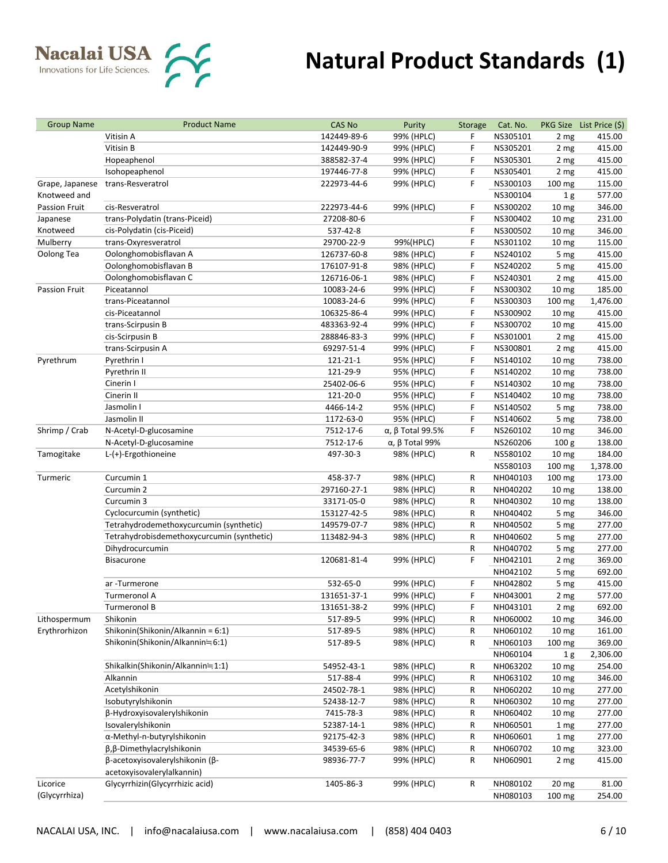| <b>Group Name</b>    | <b>Product Name</b>                        | <b>CAS No</b>  | Purity                 | Storage | Cat. No. |                  | PKG Size List Price (\$) |
|----------------------|--------------------------------------------|----------------|------------------------|---------|----------|------------------|--------------------------|
|                      | Vitisin A                                  | 142449-89-6    | 99% (HPLC)             | F       | NS305101 | 2 mg             | 415.00                   |
|                      | Vitisin B                                  | 142449-90-9    | 99% (HPLC)             | F       | NS305201 | 2 mg             | 415.00                   |
|                      | Hopeaphenol                                | 388582-37-4    | 99% (HPLC)             | F       | NS305301 | 2 mg             | 415.00                   |
|                      | Isohopeaphenol                             | 197446-77-8    | 99% (HPLC)             | F       | NS305401 | 2 mg             | 415.00                   |
| Grape, Japanese      | trans-Resveratrol                          | 222973-44-6    | 99% (HPLC)             | F       | NS300103 | $100 \text{ mg}$ | 115.00                   |
| Knotweed and         |                                            |                |                        |         | NS300104 | 1 <sub>g</sub>   | 577.00                   |
| Passion Fruit        | cis-Resveratrol                            | 222973-44-6    | 99% (HPLC)             | F       | NS300202 | 10 <sub>mg</sub> | 346.00                   |
| Japanese             | trans-Polydatin (trans-Piceid)             | 27208-80-6     |                        | F       | NS300402 | 10 <sub>mg</sub> | 231.00                   |
| Knotweed             | cis-Polydatin (cis-Piceid)                 | 537-42-8       |                        | F       | NS300502 | 10 <sub>mg</sub> | 346.00                   |
| Mulberry             | trans-Oxyresveratrol                       | 29700-22-9     | 99%(HPLC)              | F       | NS301102 | 10 <sub>mg</sub> | 115.00                   |
| Oolong Tea           | Oolonghomobisflavan A                      | 126737-60-8    | 98% (HPLC)             | F       | NS240102 | 5 mg             | 415.00                   |
|                      | Oolonghomobisflavan B                      | 176107-91-8    | 98% (HPLC)             | F       | NS240202 | 5 mg             | 415.00                   |
|                      | Oolonghomobisflavan C                      | 126716-06-1    | 98% (HPLC)             | F       | NS240301 | 2 mg             | 415.00                   |
| <b>Passion Fruit</b> | Piceatannol                                | 10083-24-6     | 99% (HPLC)             | F       | NS300302 | 10 <sub>mg</sub> | 185.00                   |
|                      | trans-Piceatannol                          | 10083-24-6     | 99% (HPLC)             | F       | NS300303 | 100 mg           | 1,476.00                 |
|                      | cis-Piceatannol                            | 106325-86-4    | 99% (HPLC)             | F       | NS300902 | 10 <sub>mg</sub> | 415.00                   |
|                      | trans-Scirpusin B                          | 483363-92-4    | 99% (HPLC)             | F       | NS300702 | 10 <sub>mg</sub> | 415.00                   |
|                      | cis-Scirpusin B                            | 288846-83-3    | 99% (HPLC)             | F       | NS301001 | 2 mg             | 415.00                   |
|                      | trans-Scirpusin A                          | 69297-51-4     | 99% (HPLC)             | F       | NS300801 | 2 mg             | 415.00                   |
| Pyrethrum            | Pyrethrin I                                | $121 - 21 - 1$ | 95% (HPLC)             | F       | NS140102 | 10 <sub>mg</sub> | 738.00                   |
|                      | Pyrethrin II                               | 121-29-9       | 95% (HPLC)             | F       | NS140202 | 10 <sub>mg</sub> | 738.00                   |
|                      | Cinerin I                                  | 25402-06-6     | 95% (HPLC)             | F       | NS140302 | 10 <sub>mg</sub> | 738.00                   |
|                      | Cinerin II                                 | 121-20-0       | 95% (HPLC)             | F       | NS140402 | 10 <sub>mg</sub> | 738.00                   |
|                      | Jasmolin I                                 | 4466-14-2      | 95% (HPLC)             | F       | NS140502 | 5 mg             | 738.00                   |
|                      | Jasmolin II                                | 1172-63-0      | 95% (HPLC)             | F       | NS140602 | 5 mg             | 738.00                   |
| Shrimp / Crab        | N-Acetyl-D-glucosamine                     | 7512-17-6      | α, β Total 99.5%       | F       | NS260102 | 10 <sub>mg</sub> | 346.00                   |
|                      | N-Acetyl-D-glucosamine                     | 7512-17-6      | $\alpha$ , β Total 99% |         | NS260206 | 100 <sub>g</sub> | 138.00                   |
| Tamogitake           | L-(+)-Ergothioneine                        | 497-30-3       | 98% (HPLC)             | R       | NS580102 | 10 <sub>mg</sub> | 184.00                   |
|                      |                                            |                |                        |         | NS580103 | 100 mg           | 1,378.00                 |
|                      |                                            |                |                        |         |          |                  | 173.00                   |
| Turmeric             | Curcumin 1<br>Curcumin 2                   | 458-37-7       | 98% (HPLC)             | R       | NH040103 | 100 mg           |                          |
|                      |                                            | 297160-27-1    | 98% (HPLC)             | R       | NH040202 | 10 <sub>mg</sub> | 138.00<br>138.00         |
|                      | Curcumin 3                                 | 33171-05-0     | 98% (HPLC)             | R       | NH040302 | 10 <sub>mg</sub> |                          |
|                      | Cyclocurcumin (synthetic)                  | 153127-42-5    | 98% (HPLC)             | R       | NH040402 | 5 mg             | 346.00                   |
|                      | Tetrahydrodemethoxycurcumin (synthetic)    | 149579-07-7    | 98% (HPLC)             | R       | NH040502 | 5 mg             | 277.00                   |
|                      | Tetrahydrobisdemethoxycurcumin (synthetic) | 113482-94-3    | 98% (HPLC)             | R       | NH040602 | 5 mg             | 277.00                   |
|                      | Dihydrocurcumin                            |                |                        | R       | NH040702 | 5 mg             | 277.00                   |
|                      | <b>Bisacurone</b>                          | 120681-81-4    | 99% (HPLC)             | F       | NH042101 | 2 mg             | 369.00                   |
|                      |                                            |                |                        |         | NH042102 | 5 mg             | 692.00                   |
|                      | ar -Turmerone                              | 532-65-0       | 99% (HPLC)             | F       | NH042802 | 5 mg             | 415.00                   |
|                      | Turmeronol A                               | 131651-37-1    | 99% (HPLC)             | F       | NH043001 | 2 mg             | 577.00                   |
|                      | Turmeronol B                               | 131651-38-2    | 99% (HPLC)             | F       | NH043101 | 2 mg             | 692.00                   |
| Lithospermum         | Shikonin                                   | 517-89-5       | 99% (HPLC)             | R       | NH060002 | 10 <sub>mg</sub> | 346.00                   |
| Erythrorhizon        | Shikonin(Shikonin/Alkannin = 6:1)          | 517-89-5       | 98% (HPLC)             | R       | NH060102 | 10 <sub>mg</sub> | 161.00                   |
|                      | Shikonin(Shikonin/Alkannin≒6:1)            | 517-89-5       | 98% (HPLC)             | R       | NH060103 | 100 mg           | 369.00                   |
|                      |                                            |                |                        |         | NH060104 | 1 <sub>g</sub>   | 2,306.00                 |
|                      | Shikalkin(Shikonin/Alkannin≒1:1)           | 54952-43-1     | 98% (HPLC)             | R       | NH063202 | 10 <sub>mg</sub> | 254.00                   |
|                      | Alkannin                                   | 517-88-4       | 99% (HPLC)             | R       | NH063102 | 10 <sub>mg</sub> | 346.00                   |
|                      | Acetylshikonin                             | 24502-78-1     | 98% (HPLC)             | R       | NH060202 | 10 <sub>mg</sub> | 277.00                   |
|                      | Isobutyrylshikonin                         | 52438-12-7     | 98% (HPLC)             | R       | NH060302 | 10 <sub>mg</sub> | 277.00                   |
|                      | β-Hydroxyisovalerylshikonin                | 7415-78-3      | 98% (HPLC)             | R       | NH060402 | 10 <sub>mg</sub> | 277.00                   |
|                      | Isovalerylshikonin                         | 52387-14-1     | 98% (HPLC)             | R       | NH060501 | 1 mg             | 277.00                   |
|                      | α-Methyl-n-butyrylshikonin                 | 92175-42-3     | 98% (HPLC)             | R       | NH060601 | 1 mg             | 277.00                   |
|                      | β, β-Dimethylacrylshikonin                 | 34539-65-6     | 98% (HPLC)             | R       | NH060702 | 10 <sub>mg</sub> | 323.00                   |
|                      | β-acetoxyisovalerylshikonin (β-            | 98936-77-7     | 99% (HPLC)             | R       | NH060901 | 2 mg             | 415.00                   |
|                      | acetoxyisovalerylalkannin)                 |                |                        |         |          |                  |                          |
| Licorice             | Glycyrrhizin(Glycyrrhizic acid)            | 1405-86-3      | 99% (HPLC)             | R       | NH080102 | 20 mg            | 81.00                    |
| (Glycyrrhiza)        |                                            |                |                        |         | NH080103 | 100 mg           | 254.00                   |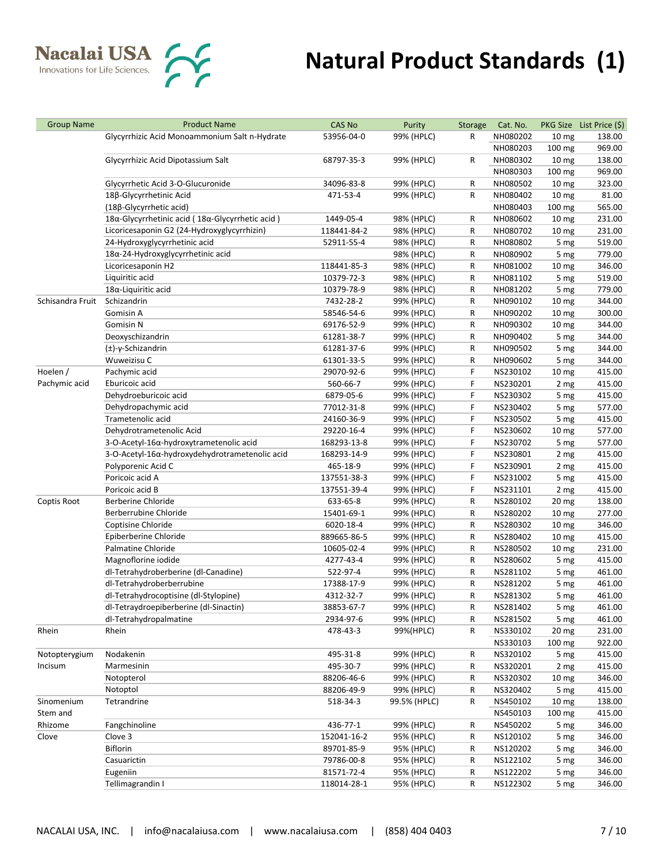

| <b>Group Name</b> | <b>Product Name</b>                             | <b>CAS No</b>           | Purity                   | Storage | Cat. No.             |                          | PKG Size List Price (\$) |
|-------------------|-------------------------------------------------|-------------------------|--------------------------|---------|----------------------|--------------------------|--------------------------|
|                   | Glycyrrhizic Acid Monoammonium Salt n-Hydrate   | 53956-04-0              | 99% (HPLC)               | R       | NH080202             | 10 <sub>mg</sub>         | 138.00                   |
|                   |                                                 |                         |                          |         | NH080203             | 100 mg                   | 969.00                   |
|                   | Glycyrrhizic Acid Dipotassium Salt              | 68797-35-3              | 99% (HPLC)               | R       | NH080302             | 10 <sub>mg</sub>         | 138.00                   |
|                   |                                                 |                         |                          |         | NH080303             | 100 mg                   | 969.00                   |
|                   | Glycyrrhetic Acid 3-O-Glucuronide               | 34096-83-8              | 99% (HPLC)               | R       | NH080502             | 10 <sub>mg</sub>         | 323.00                   |
|                   | 18β-Glycyrrhetinic Acid                         | 471-53-4                | 99% (HPLC)               | R       | NH080402             | 10 <sub>mg</sub>         | 81.00                    |
|                   | (18β-Glycyrrhetic acid)                         |                         |                          |         | NH080403             | 100 mg                   | 565.00                   |
|                   | 18α-Glycyrrhetinic acid (18α-Glycyrrhetic acid) | 1449-05-4               | 98% (HPLC)               | R       | NH080602             | 10 <sub>mg</sub>         | 231.00                   |
|                   | Licoricesaponin G2 (24-Hydroxyglycyrrhizin)     | 118441-84-2             | 98% (HPLC)               | R       | NH080702             | 10 <sub>mg</sub>         | 231.00                   |
|                   | 24-Hydroxyglycyrrhetinic acid                   | 52911-55-4              | 98% (HPLC)               | R       | NH080802             | 5 mg                     | 519.00                   |
|                   | 18α-24-Hydroxyglycyrrhetinic acid               |                         | 98% (HPLC)               | R       | NH080902             | 5 mg                     | 779.00                   |
|                   | Licoricesaponin H2                              | 118441-85-3             | 98% (HPLC)               | R       | NH081002             | 10 <sub>mg</sub>         | 346.00                   |
|                   | Liquiritic acid                                 | 10379-72-3              | 98% (HPLC)               | R       | NH081102             | 5 mg                     | 519.00                   |
|                   | $18\alpha$ -Liquiritic acid                     | 10379-78-9              | 98% (HPLC)               | R       | NH081202             | 5 mg                     | 779.00                   |
| Schisandra Fruit  | Schizandrin                                     | 7432-28-2               | 99% (HPLC)               | R       | NH090102             | 10 <sub>mg</sub>         | 344.00                   |
|                   | Gomisin A                                       | 58546-54-6              | 99% (HPLC)               | R       | NH090202             | 10 <sub>mg</sub>         | 300.00                   |
|                   | Gomisin N                                       | 69176-52-9              | 99% (HPLC)               | R       | NH090302             | 10 <sub>mg</sub>         | 344.00                   |
|                   | Deoxyschizandrin                                | 61281-38-7              | 99% (HPLC)               | R       | NH090402             | 5 mg                     | 344.00                   |
|                   | $(\pm)$ -y-Schizandrin                          | 61281-37-6              | 99% (HPLC)               | R       | NH090502             | 5 mg                     | 344.00                   |
|                   | Wuweizisu C                                     | 61301-33-5              | 99% (HPLC)               | R       | NH090602             | 5 mg                     | 344.00                   |
| Hoelen /          | Pachymic acid                                   | 29070-92-6              | 99% (HPLC)               | F       | NS230102             | 10 <sub>mg</sub>         | 415.00                   |
| Pachymic acid     | Eburicoic acid                                  | 560-66-7                | 99% (HPLC)               | F       | NS230201             | 2 mg                     | 415.00                   |
|                   | Dehydroeburicoic acid                           | 6879-05-6               | 99% (HPLC)               | F       | NS230302             | 5 mg                     | 415.00                   |
|                   | Dehydropachymic acid                            | 77012-31-8              | 99% (HPLC)               | F       | NS230402             | 5 mg                     | 577.00                   |
|                   | Trametenolic acid                               | 24160-36-9              | 99% (HPLC)               | F       | NS230502             | 5 mg                     | 415.00                   |
|                   | Dehydrotrametenolic Acid                        | 29220-16-4              | 99% (HPLC)               | F       | NS230602             | 10 <sub>mg</sub>         | 577.00                   |
|                   | 3-O-Acetyl-16α-hydroxytrametenolic acid         | 168293-13-8             | 99% (HPLC)               | F       | NS230702             | 5 mg                     | 577.00                   |
|                   | 3-O-Acetyl-16α-hydroxydehydrotrametenolic acid  | 168293-14-9             | 99% (HPLC)               | F       | NS230801             | 2 mg                     | 415.00                   |
|                   | Polyporenic Acid C                              | 465-18-9                | 99% (HPLC)               | F       | NS230901             | 2 mg                     | 415.00                   |
|                   | Poricoic acid A                                 | 137551-38-3             | 99% (HPLC)               | F       | NS231002             | 5 mg                     | 415.00                   |
|                   | Poricoic acid B                                 | 137551-39-4             | 99% (HPLC)               | F       | NS231101             | 2 mg                     | 415.00                   |
| Coptis Root       | Berberine Chloride                              | 633-65-8                | 99% (HPLC)               | R       | NS280102             | 20 <sub>mg</sub>         | 138.00                   |
|                   | Berberrubine Chloride                           | 15401-69-1              | 99% (HPLC)               | R       | NS280202             | 10 <sub>mg</sub>         | 277.00                   |
|                   | Coptisine Chloride                              | 6020-18-4               | 99% (HPLC)               | R       | NS280302             | 10 <sub>mg</sub>         | 346.00                   |
|                   | Epiberberine Chloride                           | 889665-86-5             | 99% (HPLC)               | R       | NS280402             | 10 <sub>mg</sub>         | 415.00                   |
|                   | Palmatine Chloride                              | 10605-02-4              | 99% (HPLC)               | R       | NS280502             |                          | 231.00                   |
|                   | Magnoflorine iodide                             | 4277-43-4               | 99% (HPLC)               | R       | NS280602             | 10 <sub>mg</sub><br>5 mg | 415.00                   |
|                   | dl-Tetrahydroberberine (dl-Canadine)            | 522-97-4                | 99% (HPLC)               | R       | NS281102             |                          | 461.00                   |
|                   | dl-Tetrahydroberberrubine                       | 17388-17-9              | 99% (HPLC)               | R       | NS281202             | 5 mg                     | 461.00                   |
|                   | dl-Tetrahydrocoptisine (dl-Stylopine)           |                         |                          | R       | NS281302             | 5 mg                     |                          |
|                   | dl-Tetraydroepiberberine (dl-Sinactin)          | 4312-32-7<br>38853-67-7 | 99% (HPLC)<br>99% (HPLC) |         | NS281402             | 5 mg                     | 461.00<br>461.00         |
|                   | dl-Tetrahydropalmatine                          | 2934-97-6               | 99% (HPLC)               | R       | NS281502             | 5 mg                     | 461.00                   |
| Rhein             | Rhein                                           | 478-43-3                | 99%(HPLC)                | R       |                      | 5 mg                     |                          |
|                   |                                                 |                         |                          | R       | NS330102<br>NS330103 | 20 <sub>mg</sub>         | 231.00                   |
|                   |                                                 |                         |                          |         |                      | 100 mg                   | 922.00                   |
| Notopterygium     | Nodakenin                                       | 495-31-8                | 99% (HPLC)               | R       | NS320102             | 5 mg                     | 415.00                   |
| Incisum           | Marmesinin                                      | 495-30-7                | 99% (HPLC)               | R       | NS320201             | 2 mg                     | 415.00                   |
|                   | Notopterol                                      | 88206-46-6              | 99% (HPLC)               | R       | NS320302             | 10 <sub>mg</sub>         | 346.00                   |
|                   | Notoptol                                        | 88206-49-9              | 99% (HPLC)               | R       | NS320402             | 5 mg                     | 415.00                   |
| Sinomenium        | Tetrandrine                                     | 518-34-3                | 99.5% (HPLC)             | R       | NS450102             | 10 <sub>mg</sub>         | 138.00                   |
| Stem and          |                                                 |                         |                          |         | NS450103             | 100 mg                   | 415.00                   |
| Rhizome           | Fangchinoline                                   | 436-77-1                | 99% (HPLC)               | R       | NS450202             | 5 mg                     | 346.00                   |
| Clove             | Clove 3                                         | 152041-16-2             | 95% (HPLC)               | R       | NS120102             | 5 mg                     | 346.00                   |
|                   | Biflorin                                        | 89701-85-9              | 95% (HPLC)               | R       | NS120202             | 5 mg                     | 346.00                   |
|                   | Casuarictin                                     | 79786-00-8              | 95% (HPLC)               | R       | NS122102             | 5 mg                     | 346.00                   |
|                   | Eugeniin                                        | 81571-72-4              | 95% (HPLC)               | R       | NS122202             | 5 mg                     | 346.00                   |
|                   | Tellimagrandin I                                | 118014-28-1             | 95% (HPLC)               | R       | NS122302             | 5 mg                     | 346.00                   |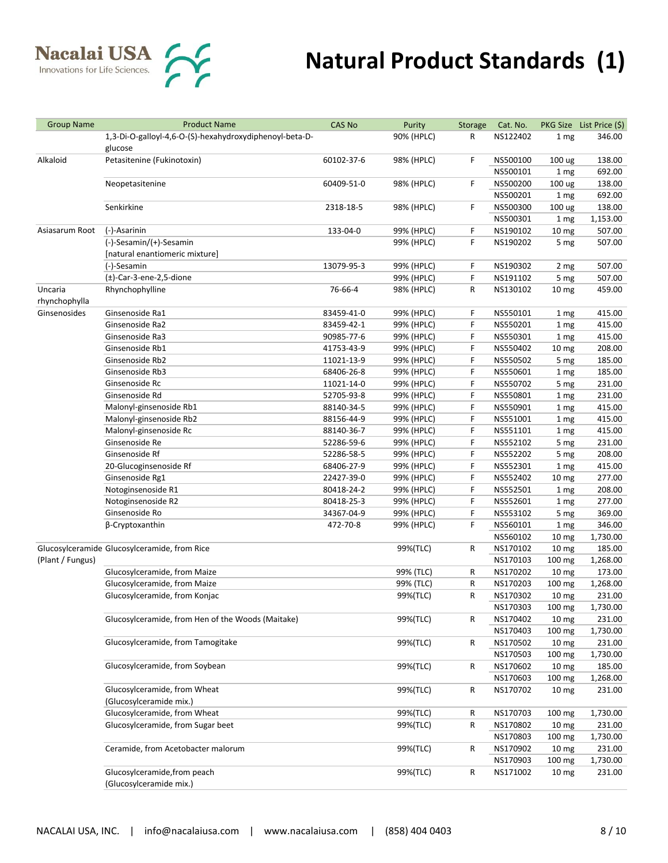

| <b>Group Name</b> | <b>Product Name</b>                                     | <b>CAS No</b>            | Purity                   | Storage | Cat. No.             |                  | PKG Size List Price (\$) |
|-------------------|---------------------------------------------------------|--------------------------|--------------------------|---------|----------------------|------------------|--------------------------|
|                   | 1,3-Di-O-galloyl-4,6-O-(S)-hexahydroxydiphenoyl-beta-D- |                          | 90% (HPLC)               | R       | NS122402             | 1 mg             | 346.00                   |
|                   | glucose                                                 |                          |                          |         |                      |                  |                          |
| Alkaloid          | Petasitenine (Fukinotoxin)                              | 60102-37-6               | 98% (HPLC)               | F       | NS500100             | 100 ug           | 138.00                   |
|                   |                                                         |                          |                          |         | NS500101             | 1 mg             | 692.00                   |
|                   | Neopetasitenine                                         | 60409-51-0               | 98% (HPLC)               | F       | NS500200             | 100 ug           | 138.00                   |
|                   |                                                         |                          |                          |         | NS500201             | 1 mg             | 692.00                   |
|                   | Senkirkine                                              | 2318-18-5                | 98% (HPLC)               | F       | NS500300             | 100 ug           | 138.00                   |
|                   |                                                         |                          |                          |         | NS500301             | 1 mg             | 1,153.00                 |
| Asiasarum Root    | (-)-Asarinin                                            | 133-04-0                 | 99% (HPLC)               | F       | NS190102             | 10 <sub>mg</sub> | 507.00                   |
|                   | (-)-Sesamin/(+)-Sesamin                                 |                          | 99% (HPLC)               | F       | NS190202             | 5 mg             | 507.00                   |
|                   | [natural enantiomeric mixture]                          |                          |                          |         |                      |                  |                          |
|                   | (-)-Sesamin                                             | 13079-95-3               | 99% (HPLC)               | F       | NS190302             | 2 mg             | 507.00                   |
|                   | $(\pm)$ -Car-3-ene-2,5-dione                            |                          | 99% (HPLC)               | F       | NS191102             | 5 mg             | 507.00                   |
| Uncaria           | Rhynchophylline                                         | 76-66-4                  | 98% (HPLC)               | R       | NS130102             | 10 <sub>mg</sub> | 459.00                   |
| rhynchophylla     |                                                         |                          |                          |         |                      |                  |                          |
| Ginsenosides      | Ginsenoside Ra1                                         | 83459-41-0               | 99% (HPLC)               | F       | NS550101             | 1 mg             | 415.00                   |
|                   | Ginsenoside Ra2                                         | 83459-42-1               | 99% (HPLC)               | F       | NS550201             | 1 mg             | 415.00                   |
|                   | Ginsenoside Ra3                                         | 90985-77-6               | 99% (HPLC)               | F       | NS550301             | 1 mg             | 415.00                   |
|                   | Ginsenoside Rb1                                         | 41753-43-9               | 99% (HPLC)               | F       | NS550402             | 10 <sub>mg</sub> | 208.00                   |
|                   | Ginsenoside Rb2                                         | 11021-13-9               | 99% (HPLC)               | F       | NS550502             | 5 mg             | 185.00                   |
|                   | Ginsenoside Rb3                                         | 68406-26-8               | 99% (HPLC)               | F       | NS550601             | 1 mg             | 185.00                   |
|                   | Ginsenoside Rc                                          | 11021-14-0               | 99% (HPLC)               | F       | NS550702             | 5 mg             | 231.00                   |
|                   | Ginsenoside Rd                                          | 52705-93-8               | 99% (HPLC)               | F       | NS550801             | 1 mg             | 231.00                   |
|                   | Malonyl-ginsenoside Rb1                                 | 88140-34-5               | 99% (HPLC)               | F       | NS550901             | 1 mg             | 415.00                   |
|                   | Malonyl-ginsenoside Rb2                                 | 88156-44-9               | 99% (HPLC)               | F       | NS551001             |                  | 415.00                   |
|                   | Malonyl-ginsenoside Rc                                  |                          |                          | F       |                      | 1 mg             |                          |
|                   | Ginsenoside Re                                          | 88140-36-7<br>52286-59-6 | 99% (HPLC)<br>99% (HPLC) | F       | NS551101<br>NS552102 | 1 mg             | 415.00<br>231.00         |
|                   | Ginsenoside Rf                                          |                          |                          | F       | NS552202             | 5 mg             |                          |
|                   |                                                         | 52286-58-5               | 99% (HPLC)               |         |                      | 5 mg             | 208.00                   |
|                   | 20-Glucoginsenoside Rf                                  | 68406-27-9               | 99% (HPLC)               | F       | NS552301             | 1 mg             | 415.00                   |
|                   | Ginsenoside Rg1                                         | 22427-39-0               | 99% (HPLC)               | F       | NS552402             | 10 <sub>mg</sub> | 277.00                   |
|                   | Notoginsenoside R1                                      | 80418-24-2               | 99% (HPLC)               | F       | NS552501             | 1 mg             | 208.00                   |
|                   | Notoginsenoside R2                                      | 80418-25-3               | 99% (HPLC)               | F       | NS552601             | 1 mg             | 277.00                   |
|                   | Ginsenoside Ro                                          | 34367-04-9               | 99% (HPLC)               | F       | NS553102             | 5 mg             | 369.00                   |
|                   | β-Cryptoxanthin                                         | 472-70-8                 | 99% (HPLC)               | F       | NS560101             | 1 mg             | 346.00                   |
|                   |                                                         |                          |                          |         | NS560102             | 10 <sub>mg</sub> | 1,730.00                 |
|                   | Glucosylceramide Glucosylceramide, from Rice            |                          | 99%(TLC)                 | R       | NS170102             | 10 <sub>mg</sub> | 185.00                   |
| (Plant / Fungus)  |                                                         |                          |                          |         | NS170103             | 100 mg           | 1,268.00                 |
|                   | Glucosylceramide, from Maize                            |                          | 99% (TLC)                | R       | NS170202             | 10 <sub>mg</sub> | 173.00                   |
|                   | Glucosylceramide, from Maize                            |                          | 99% (TLC)                | R       | NS170203             | 100 mg           | 1,268.00                 |
|                   | Glucosylceramide, from Konjac                           |                          | 99%(TLC)                 | R       | NS170302             | 10 <sub>mg</sub> | 231.00                   |
|                   |                                                         |                          |                          |         | NS170303             | 100 mg           | 1,730.00                 |
|                   | Glucosylceramide, from Hen of the Woods (Maitake)       |                          | 99%(TLC)                 | R       | NS170402             | 10 <sub>mg</sub> | 231.00                   |
|                   |                                                         |                          |                          |         | NS170403             | 100 mg           | 1,730.00                 |
|                   | Glucosylceramide, from Tamogitake                       |                          | 99%(TLC)                 | R       | NS170502             | 10 <sub>mg</sub> | 231.00                   |
|                   |                                                         |                          |                          |         | NS170503             | 100 mg           | 1,730.00                 |
|                   | Glucosylceramide, from Soybean                          |                          | 99%(TLC)                 | R       | NS170602             | 10 <sub>mg</sub> | 185.00                   |
|                   |                                                         |                          |                          |         | NS170603             | 100 mg           | 1,268.00                 |
|                   | Glucosylceramide, from Wheat                            |                          | 99%(TLC)                 | R       | NS170702             | 10 <sub>mg</sub> | 231.00                   |
|                   | (Glucosylceramide mix.)                                 |                          |                          |         |                      |                  |                          |
|                   | Glucosylceramide, from Wheat                            |                          | 99%(TLC)                 | R       | NS170703             | 100 mg           | 1,730.00                 |
|                   | Glucosylceramide, from Sugar beet                       |                          | 99%(TLC)                 | R       | NS170802             | 10 <sub>mg</sub> | 231.00                   |
|                   |                                                         |                          |                          |         | NS170803             | 100 mg           | 1,730.00                 |
|                   | Ceramide, from Acetobacter malorum                      |                          | 99%(TLC)                 | R       | NS170902             | 10 <sub>mg</sub> | 231.00                   |
|                   |                                                         |                          |                          |         | NS170903             | 100 mg           | 1,730.00                 |
|                   | Glucosylceramide, from peach<br>(Glucosylceramide mix.) |                          | 99%(TLC)                 | R       | NS171002             | 10 <sub>mg</sub> | 231.00                   |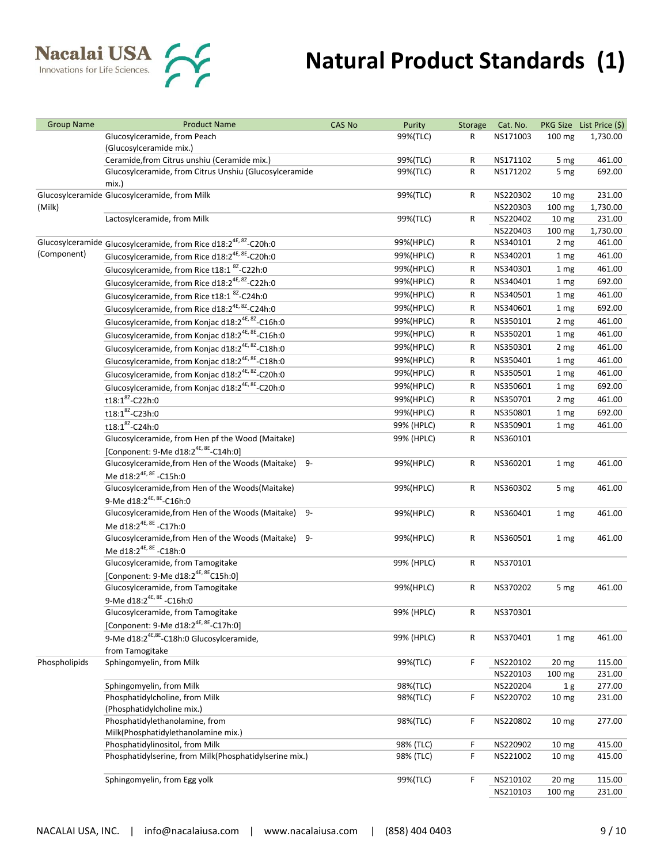

| <b>Group Name</b> | <b>Product Name</b>                                                          | <b>CAS No</b> | Purity     | Storage | Cat. No. |                  | PKG Size List Price (\$) |
|-------------------|------------------------------------------------------------------------------|---------------|------------|---------|----------|------------------|--------------------------|
|                   | Glucosylceramide, from Peach                                                 |               | 99%(TLC)   | R       | NS171003 | 100 mg           | 1,730.00                 |
|                   | (Glucosylceramide mix.)                                                      |               |            |         |          |                  |                          |
|                   | Ceramide, from Citrus unshiu (Ceramide mix.)                                 |               | 99%(TLC)   | R       | NS171102 | 5 mg             | 461.00                   |
|                   | Glucosylceramide, from Citrus Unshiu (Glucosylceramide                       |               | 99%(TLC)   | R       | NS171202 | 5 mg             | 692.00                   |
|                   | mix.)                                                                        |               |            |         |          |                  |                          |
|                   | Glucosylceramide Glucosylceramide, from Milk                                 |               | 99%(TLC)   | R       | NS220302 | 10 <sub>mg</sub> | 231.00                   |
| (Milk)            |                                                                              |               |            |         | NS220303 | 100 mg           | 1,730.00                 |
|                   | Lactosylceramide, from Milk                                                  |               | 99%(TLC)   | R       | NS220402 | 10 <sub>mg</sub> | 231.00                   |
|                   |                                                                              |               |            |         | NS220403 | 100 mg           | 1,730.00                 |
|                   | Glucosylceramide Glucosylceramide, from Rice d18:2 <sup>4E, 8Z</sup> -C20h:0 |               | 99%(HPLC)  | R       | NS340101 | 2 mg             | 461.00                   |
| (Component)       | Glucosylceramide, from Rice d18:2 <sup>4E, 8E</sup> -C20h:0                  |               | 99%(HPLC)  | R       | NS340201 | 1 mg             | 461.00                   |
|                   | Glucosylceramide, from Rice t18:1 <sup>8Z</sup> -C22h:0                      |               | 99%(HPLC)  | R       | NS340301 | 1 mg             | 461.00                   |
|                   | Glucosylceramide, from Rice d18:2 <sup>4E, 8Z</sup> -C22h:0                  |               | 99%(HPLC)  | R       | NS340401 | 1 mg             | 692.00                   |
|                   | Glucosylceramide, from Rice t18:1 <sup>8Z</sup> -C24h:0                      |               | 99%(HPLC)  | R       | NS340501 | 1 mg             | 461.00                   |
|                   | Glucosylceramide, from Rice d18:2 <sup>4E, 8Z</sup> -C24h:0                  |               | 99%(HPLC)  | R       | NS340601 | 1 mg             | 692.00                   |
|                   | Glucosylceramide, from Konjac d18:2 <sup>4E, 8Z</sup> -C16h:0                |               | 99%(HPLC)  | R       | NS350101 | 2 mg             | 461.00                   |
|                   | Glucosylceramide, from Konjac d18:2 <sup>4E, 8E</sup> -C16h:0                |               | 99%(HPLC)  | R       | NS350201 | 1 mg             | 461.00                   |
|                   | Glucosylceramide, from Konjac d18:2 <sup>4E, 8Z</sup> -C18h:0                |               | 99%(HPLC)  | R       | NS350301 | 2 mg             | 461.00                   |
|                   | Glucosylceramide, from Konjac d18:2 <sup>4E, 8E</sup> -C18h:0                |               | 99%(HPLC)  | R       | NS350401 | 1 mg             | 461.00                   |
|                   | Glucosylceramide, from Konjac d18:2 <sup>4E, 8Z</sup> -C20h:0                |               | 99%(HPLC)  | R       | NS350501 | 1 mg             | 461.00                   |
|                   |                                                                              |               |            |         |          |                  |                          |
|                   | Glucosylceramide, from Konjac d18:2 <sup>4E, 8E</sup> -C20h:0                |               | 99%(HPLC)  | R       | NS350601 | 1 mg             | 692.00                   |
|                   | t18:18 <sup>2</sup> -C22h:0                                                  |               | 99%(HPLC)  | R       | NS350701 | 2 mg             | 461.00                   |
|                   | t18:18Z-C23h:0                                                               |               | 99%(HPLC)  | R       | NS350801 | 1 mg             | 692.00                   |
|                   | $t18:1^{8Z}$ -C24h:0                                                         |               | 99% (HPLC) | R       | NS350901 | 1 mg             | 461.00                   |
|                   | Glucosylceramide, from Hen pf the Wood (Maitake)                             |               | 99% (HPLC) | R       | NS360101 |                  |                          |
|                   | [Conponent: 9-Me d18:2 <sup>4E, 8E</sup> -C14h:0]                            |               |            |         |          |                  |                          |
|                   | Glucosylceramide, from Hen of the Woods (Maitake)<br>9-                      |               | 99%(HPLC)  | R       | NS360201 | 1 mg             | 461.00                   |
|                   | Me d18:2 <sup>4E, 8E</sup> -C15h:0                                           |               |            |         |          |                  |                          |
|                   | Glucosylceramide, from Hen of the Woods (Maitake)                            |               | 99%(HPLC)  | R       | NS360302 | 5 mg             | 461.00                   |
|                   | 9-Me d18:2 <sup>4E, 8E</sup> -C16h:0                                         |               |            |         |          |                  |                          |
|                   | Glucosylceramide, from Hen of the Woods (Maitake)<br>9-                      |               | 99%(HPLC)  | R       | NS360401 | 1 mg             | 461.00                   |
|                   | Me d18:2 <sup>4E, 8E</sup> -C17h:0                                           |               |            |         |          |                  |                          |
|                   | Glucosylceramide, from Hen of the Woods (Maitake)<br>9-                      |               | 99%(HPLC)  | R       | NS360501 | 1 mg             | 461.00                   |
|                   | Me d18:2 <sup>4E, 8E</sup> -C18h:0                                           |               |            |         |          |                  |                          |
|                   | Glucosylceramide, from Tamogitake                                            |               | 99% (HPLC) | R       | NS370101 |                  |                          |
|                   | [Conponent: 9-Me d18:2 <sup>4E, 8E</sup> C15h:0]                             |               |            |         |          |                  |                          |
|                   | Glucosylceramide, from Tamogitake                                            |               | 99%(HPLC)  | R       | NS370202 | 5 mg             | 461.00                   |
|                   | 9-Me d18:2 <sup>4E, 8E</sup> -C16h:0                                         |               |            |         |          |                  |                          |
|                   | Glucosylceramide, from Tamogitake                                            |               | 99% (HPLC) | R       | NS370301 |                  |                          |
|                   | [Conponent: 9-Me d18:2 <sup>4E, 8E</sup> -C17h:0]                            |               |            |         |          |                  |                          |
|                   | 9-Me d18:2 <sup>4E,8E</sup> -C18h:0 Glucosylceramide,                        |               | 99% (HPLC) | R       | NS370401 | 1 mg             | 461.00                   |
|                   | from Tamogitake                                                              |               |            |         |          |                  |                          |
| Phospholipids     | Sphingomyelin, from Milk                                                     |               | 99%(TLC)   | F       | NS220102 | 20 <sub>mg</sub> | 115.00                   |
|                   |                                                                              |               |            |         | NS220103 | 100 mg           | 231.00                   |
|                   | Sphingomyelin, from Milk                                                     |               | 98%(TLC)   |         | NS220204 | 1 <sub>g</sub>   | 277.00                   |
|                   | Phosphatidylcholine, from Milk                                               |               | 98%(TLC)   | F       | NS220702 | 10 <sub>mg</sub> | 231.00                   |
|                   | (Phosphatidylcholine mix.)                                                   |               |            |         |          |                  |                          |
|                   | Phosphatidylethanolamine, from                                               |               | 98%(TLC)   | F       | NS220802 | 10 <sub>mg</sub> | 277.00                   |
|                   | Milk(Phosphatidylethanolamine mix.)                                          |               |            |         |          |                  |                          |
|                   | Phosphatidylinositol, from Milk                                              |               | 98% (TLC)  | F       | NS220902 | 10 <sub>mg</sub> | 415.00                   |
|                   | Phosphatidylserine, from Milk(Phosphatidylserine mix.)                       |               | 98% (TLC)  | F       | NS221002 | 10 <sub>mg</sub> | 415.00                   |
|                   |                                                                              |               |            |         |          |                  |                          |
|                   | Sphingomyelin, from Egg yolk                                                 |               | 99%(TLC)   | F       | NS210102 | 20 <sub>mg</sub> | 115.00                   |
|                   |                                                                              |               |            |         | NS210103 | 100 mg           | 231.00                   |